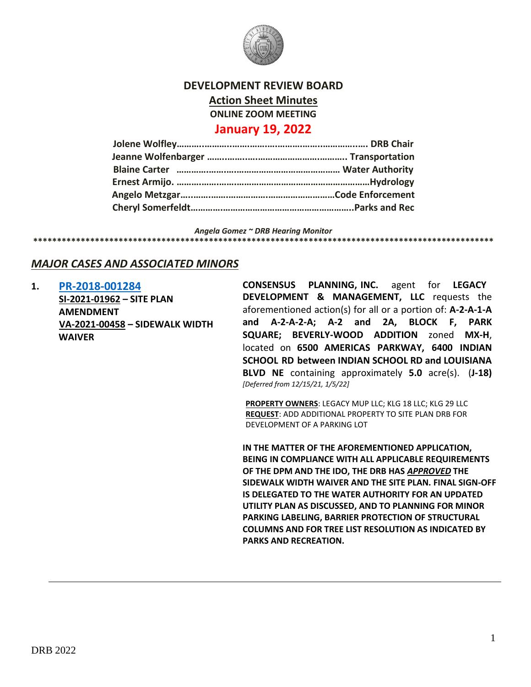

#### **DEVELOPMENT REVIEW BOARD**

**Action Sheet Minutes**

**ONLINE ZOOM MEETING**

## **January 19, 2022**

| Blaine Carter manual manual manual manual mental water Authority |  |
|------------------------------------------------------------------|--|
|                                                                  |  |
|                                                                  |  |
|                                                                  |  |

*Angela Gomez ~ DRB Hearing Monitor*

# *MAJOR CASES AND ASSOCIATED MINORS*

**1. [PR-2018-001284](http://data.cabq.gov/government/planning/DRB/PR-2018-001284/DRB%20Submittals/)**

**SI-2021-01962 – SITE PLAN AMENDMENT VA-2021-00458 – SIDEWALK WIDTH WAIVER**

**CONSENSUS PLANNING, INC.** agent for **LEGACY DEVELOPMENT & MANAGEMENT, LLC** requests the aforementioned action(s) for all or a portion of: **A-2-A-1-A and A-2-A-2-A; A-2 and 2A, BLOCK F, PARK SQUARE; BEVERLY-WOOD ADDITION** zoned **MX-H**, located on **6500 AMERICAS PARKWAY, 6400 INDIAN SCHOOL RD between INDIAN SCHOOL RD and LOUISIANA BLVD NE** containing approximately **5.0** acre(s). (**J-18)**  *[Deferred from 12/15/21, 1/5/22]*

**\*\*\*\*\*\*\*\*\*\*\*\*\*\*\*\*\*\*\*\*\*\*\*\*\*\*\*\*\*\*\*\*\*\*\*\*\*\*\*\*\*\*\*\*\*\*\*\*\*\*\*\*\*\*\*\*\*\*\*\*\*\*\*\*\*\*\*\*\*\*\*\*\*\*\*\*\*\*\*\*\*\*\*\*\*\*\*\*\*\*\*\*\*\*\*\*\***

**PROPERTY OWNERS**: LEGACY MUP LLC; KLG 18 LLC; KLG 29 LLC **REQUEST**: ADD ADDITIONAL PROPERTY TO SITE PLAN DRB FOR DEVELOPMENT OF A PARKING LOT

**IN THE MATTER OF THE AFOREMENTIONED APPLICATION, BEING IN COMPLIANCE WITH ALL APPLICABLE REQUIREMENTS OF THE DPM AND THE IDO, THE DRB HAS** *APPROVED* **THE SIDEWALK WIDTH WAIVER AND THE SITE PLAN. FINAL SIGN-OFF IS DELEGATED TO THE WATER AUTHORITY FOR AN UPDATED UTILITY PLAN AS DISCUSSED, AND TO PLANNING FOR MINOR PARKING LABELING, BARRIER PROTECTION OF STRUCTURAL COLUMNS AND FOR TREE LIST RESOLUTION AS INDICATED BY PARKS AND RECREATION.**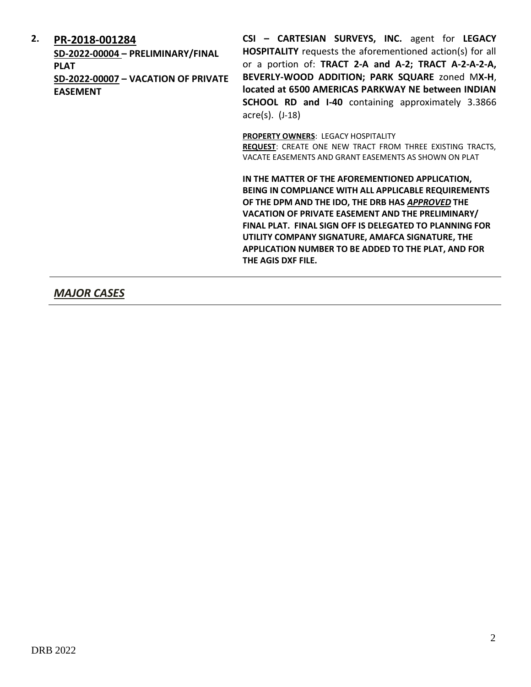## **2. [PR-2018-001284](http://data.cabq.gov/government/planning/DRB/PR-2018-001284/DRB%20Submittals/)**

**SD-2022-00004 – PRELIMINARY/FINAL PLAT SD-2022-00007 – VACATION OF PRIVATE EASEMENT**

**CSI – CARTESIAN SURVEYS, INC.** agent for **LEGACY HOSPITALITY** requests the aforementioned action(s) for all or a portion of: **TRACT 2-A and A-2; TRACT A-2-A-2-A, BEVERLY-WOOD ADDITION; PARK SQUARE** zoned M**X-H**, **located at 6500 AMERICAS PARKWAY NE between INDIAN SCHOOL RD and I-40** containing approximately 3.3866 acre(s). (J-18)

**PROPERTY OWNERS**: LEGACY HOSPITALITY

**REQUEST**: CREATE ONE NEW TRACT FROM THREE EXISTING TRACTS, VACATE EASEMENTS AND GRANT EASEMENTS AS SHOWN ON PLAT

**IN THE MATTER OF THE AFOREMENTIONED APPLICATION, BEING IN COMPLIANCE WITH ALL APPLICABLE REQUIREMENTS OF THE DPM AND THE IDO, THE DRB HAS** *APPROVED* **THE VACATION OF PRIVATE EASEMENT AND THE PRELIMINARY/ FINAL PLAT. FINAL SIGN OFF IS DELEGATED TO PLANNING FOR UTILITY COMPANY SIGNATURE, AMAFCA SIGNATURE, THE APPLICATION NUMBER TO BE ADDED TO THE PLAT, AND FOR THE AGIS DXF FILE.**

## *MAJOR CASES*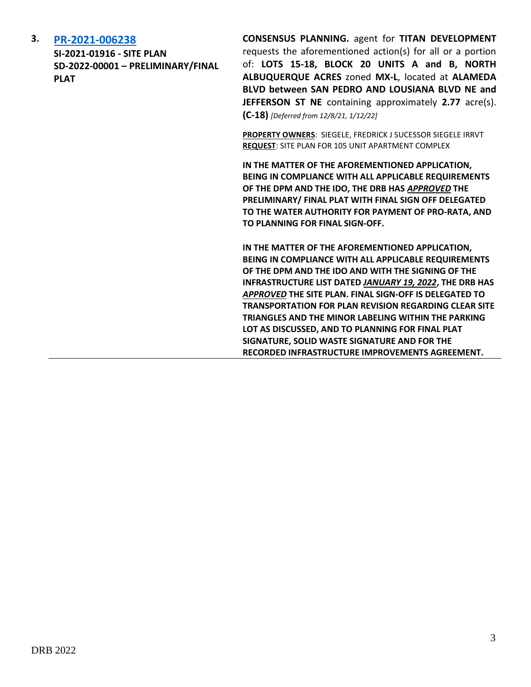#### **3. [PR-2021-006238](http://data.cabq.gov/government/planning/DRB/PR-2021-006238/DRB%20Submittals/)**

**SI-2021-01916 - SITE PLAN SD-2022-00001 – PRELIMINARY/FINAL PLAT**

**CONSENSUS PLANNING.** agent for **TITAN DEVELOPMENT**  requests the aforementioned action(s) for all or a portion of: **LOTS 15-18, BLOCK 20 UNITS A and B, NORTH ALBUQUERQUE ACRES** zoned **MX-L**, located at **ALAMEDA BLVD between SAN PEDRO AND LOUSIANA BLVD NE and JEFFERSON ST NE** containing approximately **2.77** acre(s). **(C-18)** *[Deferred from 12/8/21, 1/12/22]*

**PROPERTY OWNERS**: SIEGELE, FREDRICK J SUCESSOR SIEGELE IRRVT **REQUEST**: SITE PLAN FOR 105 UNIT APARTMENT COMPLEX

**IN THE MATTER OF THE AFOREMENTIONED APPLICATION, BEING IN COMPLIANCE WITH ALL APPLICABLE REQUIREMENTS OF THE DPM AND THE IDO, THE DRB HAS** *APPROVED* **THE PRELIMINARY/ FINAL PLAT WITH FINAL SIGN OFF DELEGATED TO THE WATER AUTHORITY FOR PAYMENT OF PRO-RATA, AND TO PLANNING FOR FINAL SIGN-OFF.**

**IN THE MATTER OF THE AFOREMENTIONED APPLICATION, BEING IN COMPLIANCE WITH ALL APPLICABLE REQUIREMENTS OF THE DPM AND THE IDO AND WITH THE SIGNING OF THE INFRASTRUCTURE LIST DATED** *JANUARY 19, 2022***, THE DRB HAS**  *APPROVED* **THE SITE PLAN. FINAL SIGN-OFF IS DELEGATED TO TRANSPORTATION FOR PLAN REVISION REGARDING CLEAR SITE TRIANGLES AND THE MINOR LABELING WITHIN THE PARKING LOT AS DISCUSSED, AND TO PLANNING FOR FINAL PLAT SIGNATURE, SOLID WASTE SIGNATURE AND FOR THE RECORDED INFRASTRUCTURE IMPROVEMENTS AGREEMENT.**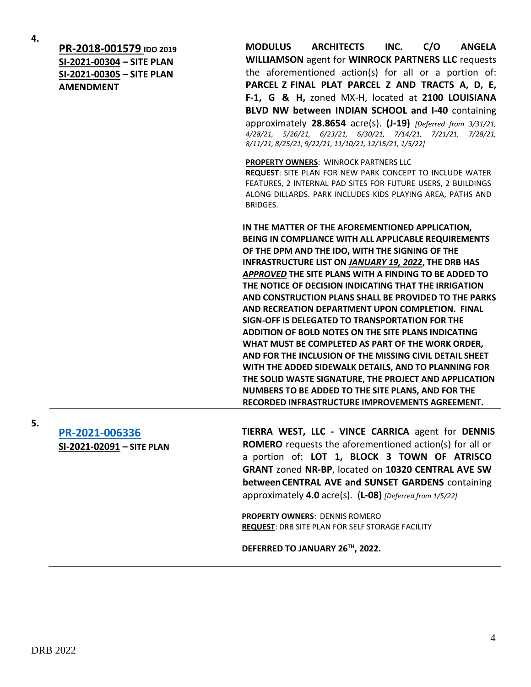**4.**

**[PR-2018-001579](http://data.cabq.gov/government/planning/DRB/PR-2018-001579/DRB%20Submittals/) IDO 2019 SI-2021-00304 – SITE PLAN SI-2021-00305 – SITE PLAN AMENDMENT**

**MODULUS ARCHITECTS INC. C/O ANGELA WILLIAMSON** agent for **WINROCK PARTNERS LLC** requests the aforementioned action(s) for all or a portion of: **PARCEL Z FINAL PLAT PARCEL Z AND TRACTS A, D, E, F-1, G & H,** zoned MX-H, located at **2100 LOUISIANA BLVD NW between INDIAN SCHOOL and I-40** containing approximately **28.8654** acre(s). **(J-19)** *[Deferred from 3/31/21, 4/28/21, 5/26/21, 6/23/21, 6/30/21, 7/14/21, 7/21/21, 7/28/21, 8/11/21, 8/25/21, 9/22/21, 11/10/21, 12/15/21, 1/5/22]*

**PROPERTY OWNERS**: WINROCK PARTNERS LLC **REQUEST**: SITE PLAN FOR NEW PARK CONCEPT TO INCLUDE WATER FEATURES, 2 INTERNAL PAD SITES FOR FUTURE USERS, 2 BUILDINGS

BRIDGES.

ALONG DILLARDS. PARK INCLUDES KIDS PLAYING AREA, PATHS AND

**IN THE MATTER OF THE AFOREMENTIONED APPLICATION, BEING IN COMPLIANCE WITH ALL APPLICABLE REQUIREMENTS OF THE DPM AND THE IDO, WITH THE SIGNING OF THE INFRASTRUCTURE LIST ON** *JANUARY 19, 2022***, THE DRB HAS**  *APPROVED* **THE SITE PLANS WITH A FINDING TO BE ADDED TO THE NOTICE OF DECISION INDICATING THAT THE IRRIGATION AND CONSTRUCTION PLANS SHALL BE PROVIDED TO THE PARKS AND RECREATION DEPARTMENT UPON COMPLETION. FINAL SIGN-OFF IS DELEGATED TO TRANSPORTATION FOR THE ADDITION OF BOLD NOTES ON THE SITE PLANS INDICATING WHAT MUST BE COMPLETED AS PART OF THE WORK ORDER, AND FOR THE INCLUSION OF THE MISSING CIVIL DETAIL SHEET WITH THE ADDED SIDEWALK DETAILS, AND TO PLANNING FOR THE SOLID WASTE SIGNATURE, THE PROJECT AND APPLICATION NUMBERS TO BE ADDED TO THE SITE PLANS, AND FOR THE RECORDED INFRASTRUCTURE IMPROVEMENTS AGREEMENT.**

**[PR-2021-006336](http://data.cabq.gov/government/planning/DRB/PR-2021-006336/DRB%20Submittals/) SI-2021-02091 – SITE PLAN**

**TIERRA WEST, LLC - VINCE CARRICA** agent for **DENNIS ROMERO** requests the aforementioned action(s) for all or a portion of: **LOT 1, BLOCK 3 TOWN OF ATRISCO GRANT** zoned **NR-BP**, located on **10320 CENTRAL AVE SW betweenCENTRAL AVE and SUNSET GARDENS** containing approximately **4.0** acre(s). (**L-08)** *[Deferred from 1/5/22]*

**PROPERTY OWNERS**: DENNIS ROMERO **REQUEST**: DRB SITE PLAN FOR SELF STORAGE FACILITY

**DEFERRED TO JANUARY 26TH, 2022.**

**5.**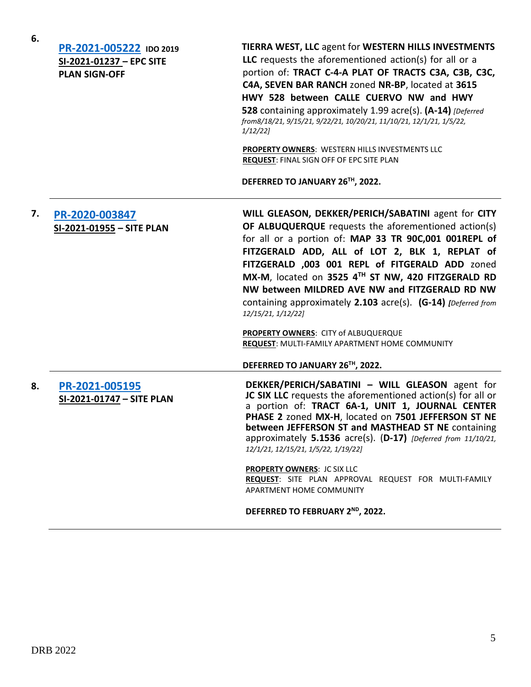|    | PR-2021-005222 IDO 2019<br>SI-2021-01237 - EPC SITE<br><b>PLAN SIGN-OFF</b> | TIERRA WEST, LLC agent for WESTERN HILLS INVESTMENTS<br>LLC requests the aforementioned action(s) for all or a<br>portion of: TRACT C-4-A PLAT OF TRACTS C3A, C3B, C3C,<br>C4A, SEVEN BAR RANCH zoned NR-BP, located at 3615<br>HWY 528 between CALLE CUERVO NW and HWY<br>528 containing approximately 1.99 acre(s). (A-14) [Deferred]<br>from8/18/21, 9/15/21, 9/22/21, 10/20/21, 11/10/21, 12/1/21, 1/5/22,<br>$1/12/22$ ]<br>PROPERTY OWNERS: WESTERN HILLS INVESTMENTS LLC<br>REQUEST: FINAL SIGN OFF OF EPC SITE PLAN<br>DEFERRED TO JANUARY 26TH, 2022.     |
|----|-----------------------------------------------------------------------------|--------------------------------------------------------------------------------------------------------------------------------------------------------------------------------------------------------------------------------------------------------------------------------------------------------------------------------------------------------------------------------------------------------------------------------------------------------------------------------------------------------------------------------------------------------------------|
| 7. | PR-2020-003847<br>SI-2021-01955 - SITE PLAN                                 | WILL GLEASON, DEKKER/PERICH/SABATINI agent for CITY<br>OF ALBUQUERQUE requests the aforementioned action(s)<br>for all or a portion of: MAP 33 TR 90C,001 001REPL of<br>FITZGERALD ADD, ALL of LOT 2, BLK 1, REPLAT of<br>FITZGERALD ,003 001 REPL of FITGERALD ADD zoned<br>MX-M, located on 3525 4TH ST NW, 420 FITZGERALD RD<br>NW between MILDRED AVE NW and FITZGERALD RD NW<br>containing approximately 2.103 acre(s). (G-14) [Deferred from<br>12/15/21, 1/12/22]<br>PROPERTY OWNERS: CITY of ALBUQUERQUE<br>REQUEST: MULTI-FAMILY APARTMENT HOME COMMUNITY |
|    |                                                                             | DEFERRED TO JANUARY 26TH, 2022.                                                                                                                                                                                                                                                                                                                                                                                                                                                                                                                                    |
| 8. | PR-2021-005195<br>SI-2021-01747 - SITE PLAN                                 | DEKKER/PERICH/SABATINI - WILL GLEASON agent for<br>JC SIX LLC requests the aforementioned action(s) for all or<br>a portion of: TRACT 6A-1, UNIT 1, JOURNAL CENTER<br>PHASE 2 zoned MX-H, located on 7501 JEFFERSON ST NE<br>between JEFFERSON ST and MASTHEAD ST NE containing<br>approximately 5.1536 acre(s). (D-17) [Deferred from 11/10/21,<br>12/1/21, 12/15/21, 1/5/22, 1/19/22]<br>PROPERTY OWNERS: JC SIX LLC<br>REQUEST: SITE PLAN APPROVAL REQUEST FOR MULTI-FAMILY<br>APARTMENT HOME COMMUNITY                                                         |
|    |                                                                             | DEFERRED TO FEBRUARY 2 <sup>ND</sup> , 2022.                                                                                                                                                                                                                                                                                                                                                                                                                                                                                                                       |

**6.**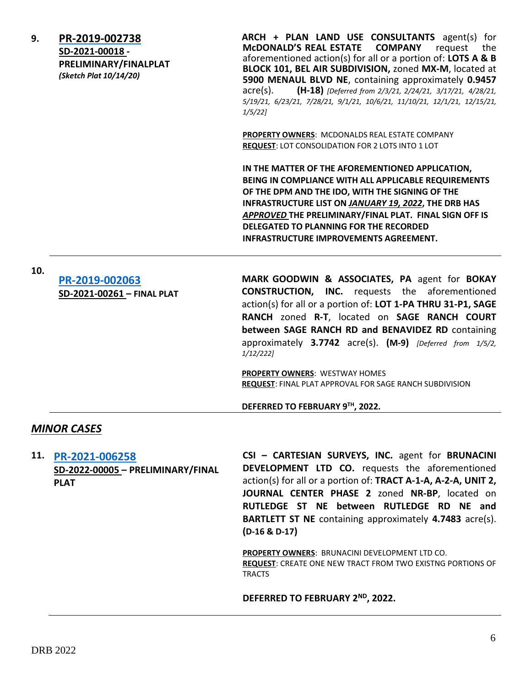| 9.                 | PR-2019-002738<br>SD-2021-00018 -<br>PRELIMINARY/FINALPLAT<br>(Sketch Plat 10/14/20) | ARCH + PLAN LAND USE CONSULTANTS agent(s) for<br><b>MCDONALD'S REAL ESTATE</b><br><b>COMPANY</b><br>request<br>the<br>aforementioned action(s) for all or a portion of: LOTS A & B<br>BLOCK 101, BEL AIR SUBDIVISION, zoned MX-M, located at<br>5900 MENAUL BLVD NE, containing approximately 0.9457<br>(H-18) [Deferred from 2/3/21, 2/24/21, 3/17/21, 4/28/21,<br>$\alpha$ cre $(s)$ .<br>5/19/21, 6/23/21, 7/28/21, 9/1/21, 10/6/21, 11/10/21, 12/1/21, 12/15/21,<br>1/5/221 |  |
|--------------------|--------------------------------------------------------------------------------------|---------------------------------------------------------------------------------------------------------------------------------------------------------------------------------------------------------------------------------------------------------------------------------------------------------------------------------------------------------------------------------------------------------------------------------------------------------------------------------|--|
|                    |                                                                                      | PROPERTY OWNERS: MCDONALDS REAL ESTATE COMPANY<br>REQUEST: LOT CONSOLIDATION FOR 2 LOTS INTO 1 LOT                                                                                                                                                                                                                                                                                                                                                                              |  |
|                    |                                                                                      | IN THE MATTER OF THE AFOREMENTIONED APPLICATION,<br>BEING IN COMPLIANCE WITH ALL APPLICABLE REQUIREMENTS<br>OF THE DPM AND THE IDO, WITH THE SIGNING OF THE<br>INFRASTRUCTURE LIST ON JANUARY 19, 2022, THE DRB HAS<br>APPROVED THE PRELIMINARY/FINAL PLAT. FINAL SIGN OFF IS<br>DELEGATED TO PLANNING FOR THE RECORDED<br><b>INFRASTRUCTURE IMPROVEMENTS AGREEMENT.</b>                                                                                                        |  |
| 10.                | PR-2019-002063<br>SD-2021-00261 - FINAL PLAT                                         | MARK GOODWIN & ASSOCIATES, PA agent for BOKAY<br><b>CONSTRUCTION, INC.</b> requests the aforementioned<br>action(s) for all or a portion of: LOT 1-PA THRU 31-P1, SAGE<br>RANCH zoned R-T, located on SAGE RANCH COURT<br>between SAGE RANCH RD and BENAVIDEZ RD containing<br>approximately 3.7742 acre(s). (M-9) [Deferred from 1/5/2,<br>$1/12/222$ ]                                                                                                                        |  |
|                    |                                                                                      | <b>PROPERTY OWNERS: WESTWAY HOMES</b><br>REQUEST: FINAL PLAT APPROVAL FOR SAGE RANCH SUBDIVISION                                                                                                                                                                                                                                                                                                                                                                                |  |
|                    |                                                                                      | DEFERRED TO FEBRUARY 9TH, 2022.                                                                                                                                                                                                                                                                                                                                                                                                                                                 |  |
| <b>MINOR CASES</b> |                                                                                      |                                                                                                                                                                                                                                                                                                                                                                                                                                                                                 |  |
|                    | 11. PR-2021-006258                                                                   | CSI - CARTESIAN SURVEYS, INC. agent for BRUNACINI                                                                                                                                                                                                                                                                                                                                                                                                                               |  |

**SD-2022-00005 – PRELIMINARY/FINAL PLAT**

**DEVELOPMENT LTD CO.** requests the aforementioned action(s) for all or a portion of: **TRACT A-1-A, A-2-A, UNIT 2, JOURNAL CENTER PHASE 2** zoned **NR-BP**, located on **RUTLEDGE ST NE between RUTLEDGE RD NE and BARTLETT ST NE** containing approximately **4.7483** acre(s). **(D-16 & D-17)**

**PROPERTY OWNERS**: BRUNACINI DEVELOPMENT LTD CO. **REQUEST**: CREATE ONE NEW TRACT FROM TWO EXISTNG PORTIONS OF TRACTS

**DEFERRED TO FEBRUARY 2ND, 2022.**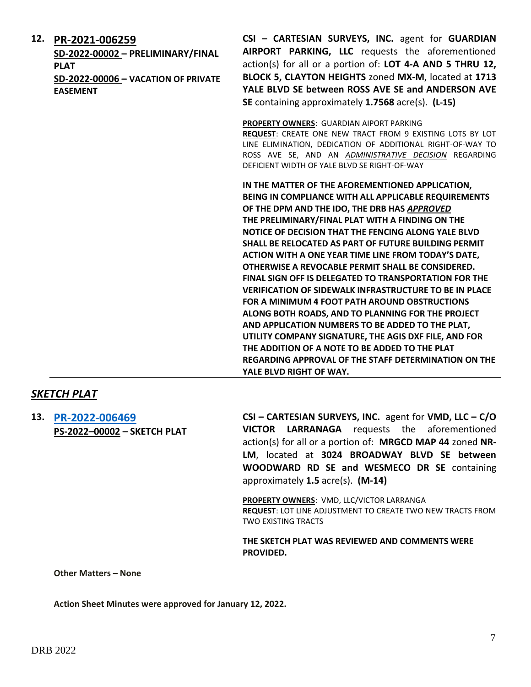| 12. | PR-2021-006259<br>SD-2022-00002 - PRELIMINARY/FINAL<br><b>PLAT</b><br>SD-2022-00006 - VACATION OF PRIVATE<br><b>EASEMENT</b> | CSI - CARTESIAN SURVEYS, INC. agent for GUARDIAN<br>AIRPORT PARKING, LLC requests the aforementioned<br>action(s) for all or a portion of: LOT 4-A AND 5 THRU 12,<br>BLOCK 5, CLAYTON HEIGHTS zoned MX-M, located at 1713<br>YALE BLVD SE between ROSS AVE SE and ANDERSON AVE<br>SE containing approximately 1.7568 acre(s). (L-15)                                                                                                                                                                                                                                                                                                                                                                                                                                                                                                                                                                                                           |
|-----|------------------------------------------------------------------------------------------------------------------------------|------------------------------------------------------------------------------------------------------------------------------------------------------------------------------------------------------------------------------------------------------------------------------------------------------------------------------------------------------------------------------------------------------------------------------------------------------------------------------------------------------------------------------------------------------------------------------------------------------------------------------------------------------------------------------------------------------------------------------------------------------------------------------------------------------------------------------------------------------------------------------------------------------------------------------------------------|
|     |                                                                                                                              | PROPERTY OWNERS: GUARDIAN AIPORT PARKING<br>REQUEST: CREATE ONE NEW TRACT FROM 9 EXISTING LOTS BY LOT<br>LINE ELIMINATION, DEDICATION OF ADDITIONAL RIGHT-OF-WAY TO<br>ROSS AVE SE, AND AN ADMINISTRATIVE DECISION REGARDING<br>DEFICIENT WIDTH OF YALE BLVD SE RIGHT-OF-WAY                                                                                                                                                                                                                                                                                                                                                                                                                                                                                                                                                                                                                                                                   |
|     |                                                                                                                              | IN THE MATTER OF THE AFOREMENTIONED APPLICATION,<br>BEING IN COMPLIANCE WITH ALL APPLICABLE REQUIREMENTS<br>OF THE DPM AND THE IDO, THE DRB HAS APPROVED<br>THE PRELIMINARY/FINAL PLAT WITH A FINDING ON THE<br>NOTICE OF DECISION THAT THE FENCING ALONG YALE BLVD<br><b>SHALL BE RELOCATED AS PART OF FUTURE BUILDING PERMIT</b><br>ACTION WITH A ONE YEAR TIME LINE FROM TODAY'S DATE,<br>OTHERWISE A REVOCABLE PERMIT SHALL BE CONSIDERED.<br><b>FINAL SIGN OFF IS DELEGATED TO TRANSPORTATION FOR THE</b><br><b>VERIFICATION OF SIDEWALK INFRASTRUCTURE TO BE IN PLACE</b><br>FOR A MINIMUM 4 FOOT PATH AROUND OBSTRUCTIONS<br>ALONG BOTH ROADS, AND TO PLANNING FOR THE PROJECT<br>AND APPLICATION NUMBERS TO BE ADDED TO THE PLAT,<br>UTILITY COMPANY SIGNATURE, THE AGIS DXF FILE, AND FOR<br>THE ADDITION OF A NOTE TO BE ADDED TO THE PLAT<br><b>REGARDING APPROVAL OF THE STAFF DETERMINATION ON THE</b><br>YALE BLVD RIGHT OF WAY. |

## *SKETCH PLAT*

**13. [PR-2022-006469](http://data.cabq.gov/government/planning/DRB/) PS-2022–00002 – SKETCH PLAT CSI – CARTESIAN SURVEYS, INC.** agent for **VMD, LLC – C/O VICTOR LARRANAGA** requests the aforementioned action(s) for all or a portion of: **MRGCD MAP 44** zoned **NR-LM**, located at **3024 BROADWAY BLVD SE between WOODWARD RD SE and WESMECO DR SE** containing approximately **1.5** acre(s). **(M-14)**

> **PROPERTY OWNERS**: VMD, LLC/VICTOR LARRANGA **REQUEST**: LOT LINE ADJUSTMENT TO CREATE TWO NEW TRACTS FROM TWO EXISTING TRACTS

**THE SKETCH PLAT WAS REVIEWED AND COMMENTS WERE PROVIDED.**

**Other Matters – None**

**Action Sheet Minutes were approved for January 12, 2022.**